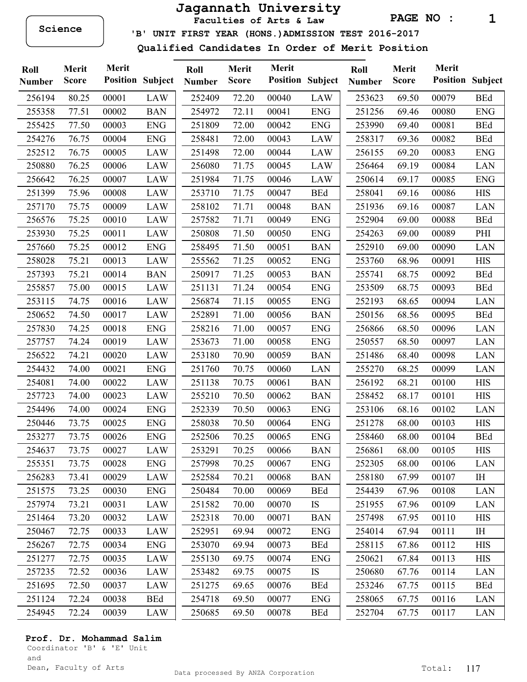## Jagannath University

Science

 'B' UNIT FIRST YEAR (HONS.)ADMISSION TEST 2016-2017 Faculties of Arts & Law

PAGE NO : 1

Qualified Candidates In Order of Merit Position

| Roll<br><b>Number</b> | Merit<br><b>Score</b> | Merit<br><b>Position</b> | Subject    | Roll<br><b>Number</b> | Merit<br><b>Score</b> | Merit<br><b>Position</b> | Subject    | Roll<br><b>Number</b> | Merit<br><b>Score</b> | Merit<br><b>Position</b> | Subject    |
|-----------------------|-----------------------|--------------------------|------------|-----------------------|-----------------------|--------------------------|------------|-----------------------|-----------------------|--------------------------|------------|
| 256194                | 80.25                 | 00001                    | <b>LAW</b> | 252409                | 72.20                 | 00040                    | <b>LAW</b> | 253623                | 69.50                 | 00079                    | <b>BEd</b> |
| 255358                | 77.51                 | 00002                    | <b>BAN</b> | 254972                | 72.11                 | 00041                    | <b>ENG</b> | 251256                | 69.46                 | 00080                    | <b>ENG</b> |
| 255425                | 77.50                 | 00003                    | <b>ENG</b> | 251809                | 72.00                 | 00042                    | <b>ENG</b> | 253990                | 69.40                 | 00081                    | <b>BEd</b> |
| 254276                | 76.75                 | 00004                    | <b>ENG</b> | 258481                | 72.00                 | 00043                    | <b>LAW</b> | 258317                | 69.36                 | 00082                    | <b>BEd</b> |
| 252512                | 76.75                 | 00005                    | LAW        | 251498                | 72.00                 | 00044                    | LAW        | 256155                | 69.20                 | 00083                    | <b>ENG</b> |
| 250880                | 76.25                 | 00006                    | <b>LAW</b> | 256080                | 71.75                 | 00045                    | LAW        | 256464                | 69.19                 | 00084                    | <b>LAN</b> |
| 256642                | 76.25                 | 00007                    | LAW        | 251984                | 71.75                 | 00046                    | LAW        | 250614                | 69.17                 | 00085                    | <b>ENG</b> |
| 251399                | 75.96                 | 00008                    | <b>LAW</b> | 253710                | 71.75                 | 00047                    | <b>BEd</b> | 258041                | 69.16                 | 00086                    | <b>HIS</b> |
| 257170                | 75.75                 | 00009                    | <b>LAW</b> | 258102                | 71.71                 | 00048                    | <b>BAN</b> | 251936                | 69.16                 | 00087                    | <b>LAN</b> |
| 256576                | 75.25                 | 00010                    | <b>LAW</b> | 257582                | 71.71                 | 00049                    | <b>ENG</b> | 252904                | 69.00                 | 00088                    | <b>BEd</b> |
| 253930                | 75.25                 | 00011                    | <b>LAW</b> | 250808                | 71.50                 | 00050                    | <b>ENG</b> | 254263                | 69.00                 | 00089                    | PHI        |
| 257660                | 75.25                 | 00012                    | <b>ENG</b> | 258495                | 71.50                 | 00051                    | <b>BAN</b> | 252910                | 69.00                 | 00090                    | <b>LAN</b> |
| 258028                | 75.21                 | 00013                    | <b>LAW</b> | 255562                | 71.25                 | 00052                    | <b>ENG</b> | 253760                | 68.96                 | 00091                    | <b>HIS</b> |
| 257393                | 75.21                 | 00014                    | <b>BAN</b> | 250917                | 71.25                 | 00053                    | <b>BAN</b> | 255741                | 68.75                 | 00092                    | <b>BEd</b> |
| 255857                | 75.00                 | 00015                    | LAW        | 251131                | 71.24                 | 00054                    | <b>ENG</b> | 253509                | 68.75                 | 00093                    | <b>BEd</b> |
| 253115                | 74.75                 | 00016                    | <b>LAW</b> | 256874                | 71.15                 | 00055                    | <b>ENG</b> | 252193                | 68.65                 | 00094                    | <b>LAN</b> |
| 250652                | 74.50                 | 00017                    | <b>LAW</b> | 252891                | 71.00                 | 00056                    | <b>BAN</b> | 250156                | 68.56                 | 00095                    | <b>BEd</b> |
| 257830                | 74.25                 | 00018                    | <b>ENG</b> | 258216                | 71.00                 | 00057                    | <b>ENG</b> | 256866                | 68.50                 | 00096                    | LAN        |
| 257757                | 74.24                 | 00019                    | <b>LAW</b> | 253673                | 71.00                 | 00058                    | <b>ENG</b> | 250557                | 68.50                 | 00097                    | <b>LAN</b> |
| 256522                | 74.21                 | 00020                    | LAW        | 253180                | 70.90                 | 00059                    | <b>BAN</b> | 251486                | 68.40                 | 00098                    | LAN        |
| 254432                | 74.00                 | 00021                    | <b>ENG</b> | 251760                | 70.75                 | 00060                    | LAN        | 255270                | 68.25                 | 00099                    | LAN        |
| 254081                | 74.00                 | 00022                    | LAW        | 251138                | 70.75                 | 00061                    | <b>BAN</b> | 256192                | 68.21                 | 00100                    | <b>HIS</b> |
| 257723                | 74.00                 | 00023                    | LAW        | 255210                | 70.50                 | 00062                    | <b>BAN</b> | 258452                | 68.17                 | 00101                    | <b>HIS</b> |
| 254496                | 74.00                 | 00024                    | <b>ENG</b> | 252339                | 70.50                 | 00063                    | <b>ENG</b> | 253106                | 68.16                 | 00102                    | <b>LAN</b> |
| 250446                | 73.75                 | 00025                    | <b>ENG</b> | 258038                | 70.50                 | 00064                    | <b>ENG</b> | 251278                | 68.00                 | 00103                    | <b>HIS</b> |
| 253277                | 73.75                 | 00026                    | <b>ENG</b> | 252506                | 70.25                 | 00065                    | <b>ENG</b> | 258460                | 68.00                 | 00104                    | <b>BEd</b> |
| 254637                | 73.75                 | 00027                    | <b>LAW</b> | 253291                | 70.25                 | 00066                    | <b>BAN</b> | 256861                | 68.00                 | 00105                    | <b>HIS</b> |
| 255351                | 73.75                 | 00028                    | <b>ENG</b> | 257998                | 70.25                 | 00067                    | <b>ENG</b> | 252305                | 68.00                 | 00106                    | <b>LAN</b> |
| 256283                | 73.41                 | 00029                    | LAW        | 252584                | 70.21                 | 00068                    | <b>BAN</b> | 258180                | 67.99                 | 00107                    | IH         |
| 251575                | 73.25                 | 00030                    | <b>ENG</b> | 250484                | 70.00                 | 00069                    | <b>BEd</b> | 254439                | 67.96                 | 00108                    | <b>LAN</b> |
| 257974                | 73.21                 | 00031                    | LAW        | 251582                | 70.00                 | 00070                    | <b>IS</b>  | 251955                | 67.96                 | 00109                    | <b>LAN</b> |
| 251464                | 73.20                 | 00032                    | LAW        | 252318                | 70.00                 | 00071                    | <b>BAN</b> | 257498                | 67.95                 | 00110                    | HIS        |
| 250467                | 72.75                 | 00033                    | LAW        | 252951                | 69.94                 | 00072                    | <b>ENG</b> | 254014                | 67.94                 | 00111                    | IH         |
| 256267                | 72.75                 | 00034                    | <b>ENG</b> | 253070                | 69.94                 | 00073                    | <b>BEd</b> | 258115                | 67.86                 | 00112                    | <b>HIS</b> |
| 251277                | 72.75                 | 00035                    | LAW        | 255130                | 69.75                 | 00074                    | <b>ENG</b> | 250621                | 67.84                 | 00113                    | <b>HIS</b> |
| 257235                | 72.52                 | 00036                    | LAW        | 253482                | 69.75                 | 00075                    | IS         | 250680                | 67.76                 | 00114                    | LAN        |
| 251695                | 72.50                 | 00037                    | LAW        | 251275                | 69.65                 | 00076                    | <b>BEd</b> | 253246                | 67.75                 | 00115                    | <b>BEd</b> |
| 251124                | 72.24                 | 00038                    | <b>BEd</b> | 254718                | 69.50                 | 00077                    | <b>ENG</b> | 258065                | 67.75                 | 00116                    | <b>LAN</b> |
| 254945                | 72.24                 | 00039                    | LAW        | 250685                | 69.50                 | 00078                    | <b>BEd</b> | 252704                | 67.75                 | 00117                    | <b>LAN</b> |

## Prof. Dr. Mohammad Salim

Coordinator 'B' & 'E' Unit and Dean, Faculty of Arts  $P_1$ ,  $P_2$ ,  $P_3$ ,  $P_4$ ,  $P_5$ ,  $P_6$ ,  $P_7$ ,  $P_8$ ,  $P_9$ ,  $P_9$ ,  $P_9$ ,  $P_9$ ,  $P_9$ ,  $P_9$ ,  $P_9$ ,  $P_9$ ,  $P_9$ ,  $P_9$ ,  $P_9$ ,  $P_9$ ,  $P_9$ ,  $P_9$ ,  $P_9$ ,  $P_9$ ,  $P_9$ ,  $P_9$ ,  $P_9$ ,  $P_9$ ,  $P_9$